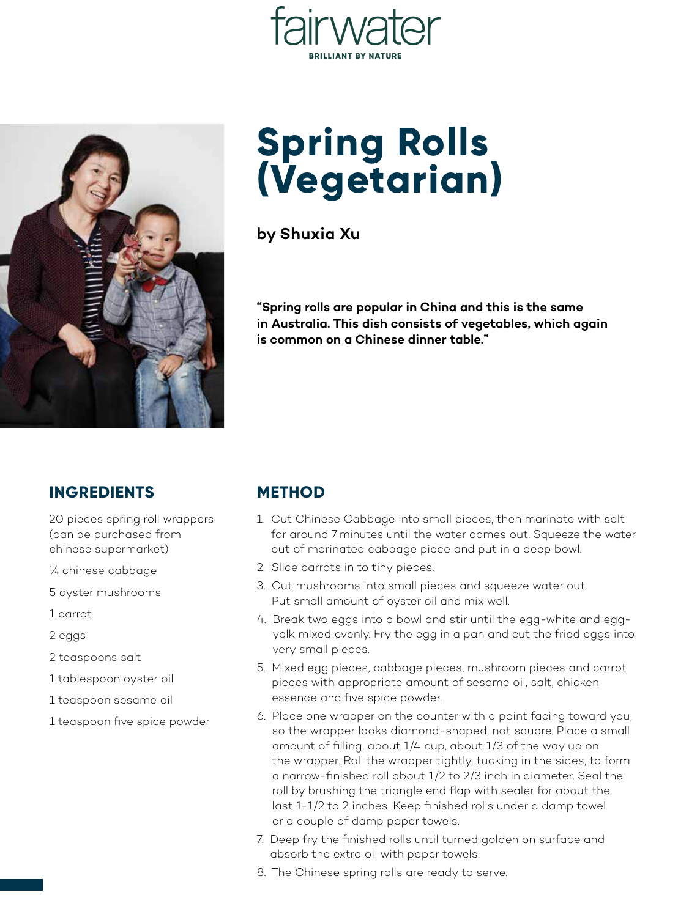



## **Spring Rolls (Vegetarian)**

**by Shuxia Xu**

**"Spring rolls are popular in China and this is the same in Australia. This dish consists of vegetables, which again is common on a Chinese dinner table."**

## **INGREDIENTS**

20 pieces spring roll wrappers (can be purchased from chinese supermarket)

- ¼ chinese cabbage
- 5 oyster mushrooms
- 1 carrot
- 2 eggs
- 2 teaspoons salt
- 1 tablespoon oyster oil
- 1 teaspoon sesame oil
- 1 teaspoon five spice powder

## **METHOD**

- 1. Cut Chinese Cabbage into small pieces, then marinate with salt for around 7 minutes until the water comes out. Squeeze the water out of marinated cabbage piece and put in a deep bowl.
- 2. Slice carrots in to tiny pieces.
- 3. Cut mushrooms into small pieces and squeeze water out. Put small amount of oyster oil and mix well.
- 4. Break two eggs into a bowl and stir until the egg-white and eggyolk mixed evenly. Fry the egg in a pan and cut the fried eggs into very small pieces.
- 5. Mixed egg pieces, cabbage pieces, mushroom pieces and carrot pieces with appropriate amount of sesame oil, salt, chicken essence and five spice powder.
- 6. Place one wrapper on the counter with a point facing toward you, so the wrapper looks diamond-shaped, not square. Place a small amount of filling, about 1/4 cup, about 1/3 of the way up on the wrapper. Roll the wrapper tightly, tucking in the sides, to form a narrow-finished roll about 1/2 to 2/3 inch in diameter. Seal the roll by brushing the triangle end flap with sealer for about the last 1-1/2 to 2 inches. Keep finished rolls under a damp towel or a couple of damp paper towels.
- 7. Deep fry the finished rolls until turned golden on surface and absorb the extra oil with paper towels.
- 8. The Chinese spring rolls are ready to serve.